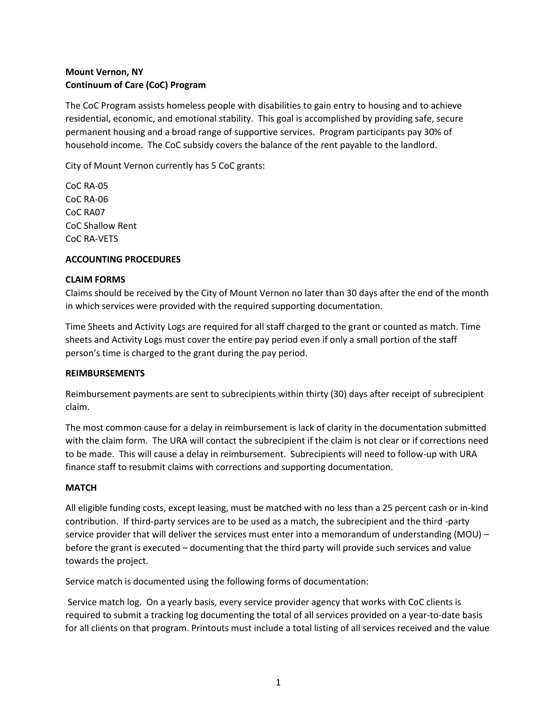# **Mount Vernon, NY Continuum of Care (CoC) Program**

The CoC Program assists homeless people with disabilities to gain entry to housing and to achieve residential, economic, and emotional stability. This goal is accomplished by providing safe, secure permanent housing and a broad range of supportive services. Program participants pay 30% of household income. The CoC subsidy covers the balance of the rent payable to the landlord.

City of Mount Vernon currently has 5 CoC grants:

CoC RA-05 CoC RA-06 CoC RA07 CoC Shallow Rent CoC RA-VETS

### **ACCOUNTING PROCEDURES**

### **CLAIM FORMS**

Claims should be received by the City of Mount Vernon no later than 30 days after the end of the month in which services were provided with the required supporting documentation.

Time Sheets and Activity Logs are required for all staff charged to the grant or counted as match. Time sheets and Activity Logs must cover the entire pay period even if only a small portion of the staff person's time is charged to the grant during the pay period.

### **REIMBURSEMENTS**

Reimbursement payments are sent to subrecipients within thirty (30) days after receipt of subrecipient claim.

The most common cause for a delay in reimbursement is lack of clarity in the documentation submitted with the claim form. The URA will contact the subrecipient if the claim is not clear or if corrections need to be made. This will cause a delay in reimbursement. Subrecipients will need to follow-up with URA finance staff to resubmit claims with corrections and supporting documentation.

### **MATCH**

All eligible funding costs, except leasing, must be matched with no less than a 25 percent cash or in-kind contribution. If third-party services are to be used as a match, the subrecipient and the third -party service provider that will deliver the services must enter into a memorandum of understanding (MOU) – before the grant is executed – documenting that the third party will provide such services and value towards the project.

Service match is documented using the following forms of documentation:

Service match log. On a yearly basis, every service provider agency that works with CoC clients is required to submit a tracking log documenting the total of all services provided on a year-to-date basis for all clients on that program. Printouts must include a total listing of all services received and the value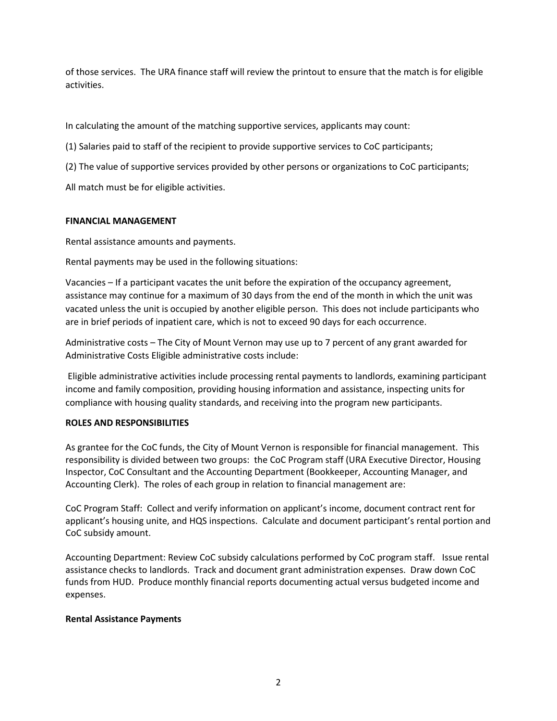of those services. The URA finance staff will review the printout to ensure that the match is for eligible activities.

In calculating the amount of the matching supportive services, applicants may count:

(1) Salaries paid to staff of the recipient to provide supportive services to CoC participants;

(2) The value of supportive services provided by other persons or organizations to CoC participants;

All match must be for eligible activities.

### **FINANCIAL MANAGEMENT**

Rental assistance amounts and payments.

Rental payments may be used in the following situations:

Vacancies – If a participant vacates the unit before the expiration of the occupancy agreement, assistance may continue for a maximum of 30 days from the end of the month in which the unit was vacated unless the unit is occupied by another eligible person. This does not include participants who are in brief periods of inpatient care, which is not to exceed 90 days for each occurrence.

Administrative costs – The City of Mount Vernon may use up to 7 percent of any grant awarded for Administrative Costs Eligible administrative costs include:

Eligible administrative activities include processing rental payments to landlords, examining participant income and family composition, providing housing information and assistance, inspecting units for compliance with housing quality standards, and receiving into the program new participants.

### **ROLES AND RESPONSIBILITIES**

As grantee for the CoC funds, the City of Mount Vernon is responsible for financial management. This responsibility is divided between two groups: the CoC Program staff (URA Executive Director, Housing Inspector, CoC Consultant and the Accounting Department (Bookkeeper, Accounting Manager, and Accounting Clerk). The roles of each group in relation to financial management are:

CoC Program Staff: Collect and verify information on applicant's income, document contract rent for applicant's housing unite, and HQS inspections. Calculate and document participant's rental portion and CoC subsidy amount.

Accounting Department: Review CoC subsidy calculations performed by CoC program staff. Issue rental assistance checks to landlords. Track and document grant administration expenses. Draw down CoC funds from HUD. Produce monthly financial reports documenting actual versus budgeted income and expenses.

### **Rental Assistance Payments**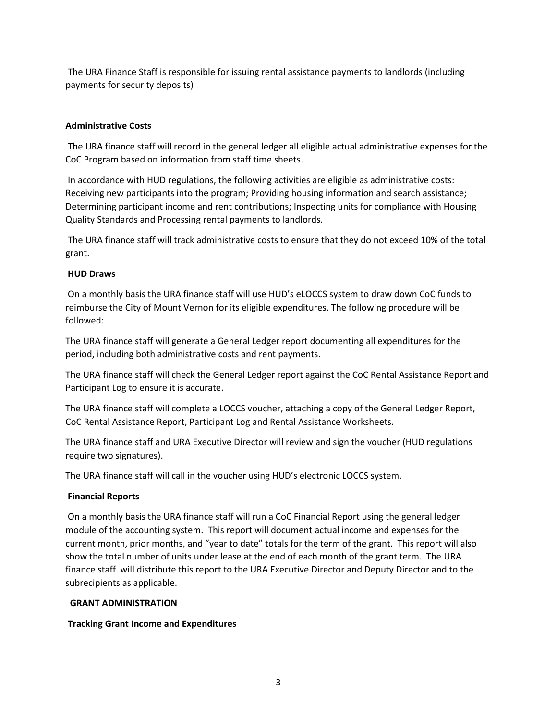The URA Finance Staff is responsible for issuing rental assistance payments to landlords (including payments for security deposits)

## **Administrative Costs**

The URA finance staff will record in the general ledger all eligible actual administrative expenses for the CoC Program based on information from staff time sheets.

In accordance with HUD regulations, the following activities are eligible as administrative costs: Receiving new participants into the program; Providing housing information and search assistance; Determining participant income and rent contributions; Inspecting units for compliance with Housing Quality Standards and Processing rental payments to landlords.

The URA finance staff will track administrative costs to ensure that they do not exceed 10% of the total grant.

### **HUD Draws**

On a monthly basis the URA finance staff will use HUD's eLOCCS system to draw down CoC funds to reimburse the City of Mount Vernon for its eligible expenditures. The following procedure will be followed:

The URA finance staff will generate a General Ledger report documenting all expenditures for the period, including both administrative costs and rent payments.

The URA finance staff will check the General Ledger report against the CoC Rental Assistance Report and Participant Log to ensure it is accurate.

The URA finance staff will complete a LOCCS voucher, attaching a copy of the General Ledger Report, CoC Rental Assistance Report, Participant Log and Rental Assistance Worksheets.

The URA finance staff and URA Executive Director will review and sign the voucher (HUD regulations require two signatures).

The URA finance staff will call in the voucher using HUD's electronic LOCCS system.

### **Financial Reports**

On a monthly basis the URA finance staff will run a CoC Financial Report using the general ledger module of the accounting system. This report will document actual income and expenses for the current month, prior months, and "year to date" totals for the term of the grant. This report will also show the total number of units under lease at the end of each month of the grant term. The URA finance staff will distribute this report to the URA Executive Director and Deputy Director and to the subrecipients as applicable.

### **GRANT ADMINISTRATION**

### **Tracking Grant Income and Expenditures**